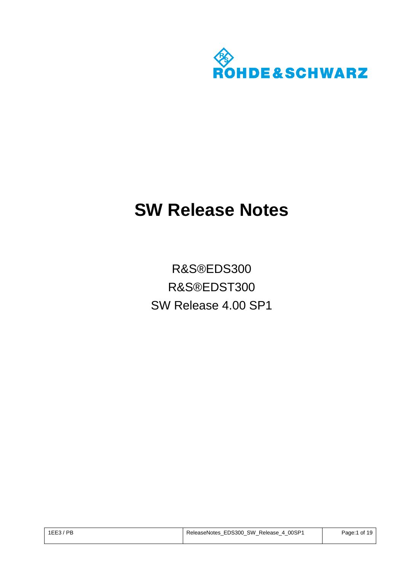

# **SW Release Notes**

R&S®EDS300 R&S®EDST300 SW Release 4.00 SP1

| $1EE3$ / PB | ReleaseNotes EDS300 SW Release 4 00SP1 | of 19<br>Page:1 |
|-------------|----------------------------------------|-----------------|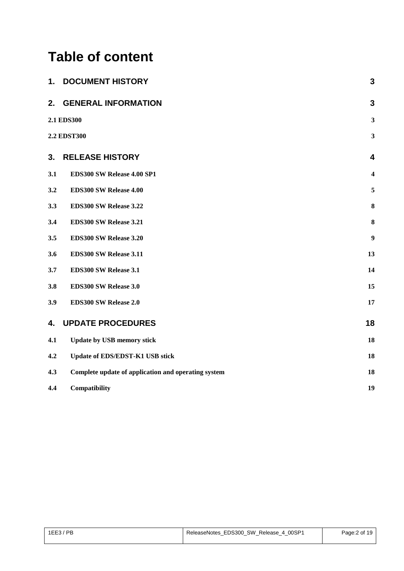## **Table of content**

| 1.  | <b>DOCUMENT HISTORY</b>                             | 3                       |
|-----|-----------------------------------------------------|-------------------------|
| 2.  | <b>GENERAL INFORMATION</b>                          | $\overline{3}$          |
|     | 2.1 EDS300                                          | $\mathbf{3}$            |
|     | <b>2.2 EDST300</b>                                  | $\mathbf{3}$            |
| 3.  | <b>RELEASE HISTORY</b>                              | 4                       |
| 3.1 | EDS300 SW Release 4.00 SP1                          | $\overline{\mathbf{4}}$ |
| 3.2 | EDS300 SW Release 4.00                              | 5                       |
| 3.3 | EDS300 SW Release 3.22                              | 8                       |
| 3.4 | EDS300 SW Release 3.21                              | $\bf{8}$                |
| 3.5 | EDS300 SW Release 3.20                              | $\boldsymbol{9}$        |
| 3.6 | EDS300 SW Release 3.11                              | 13                      |
| 3.7 | EDS300 SW Release 3.1                               | 14                      |
| 3.8 | EDS300 SW Release 3.0                               | 15                      |
| 3.9 | EDS300 SW Release 2.0                               | 17                      |
| 4.  | <b>UPDATE PROCEDURES</b>                            | 18                      |
| 4.1 | <b>Update by USB memory stick</b>                   | 18                      |
| 4.2 | Update of EDS/EDST-K1 USB stick                     | 18                      |
| 4.3 | Complete update of application and operating system | 18                      |
| 4.4 | Compatibility                                       | 19                      |

| $1EE3$ / PB | ReleaseNotes EDS300 SW Release 4 00SP1 | Page: 2 of 19 |
|-------------|----------------------------------------|---------------|
|             |                                        |               |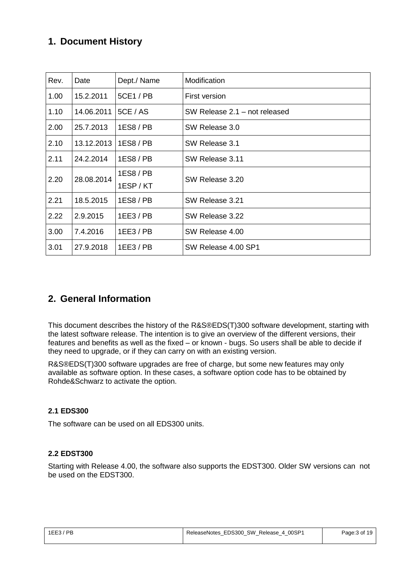## <span id="page-2-0"></span>**1. Document History**

| Rev. | Date       | Dept./ Name        | Modification                  |
|------|------------|--------------------|-------------------------------|
| 1.00 | 15.2.2011  | 5CE1 / PB          | First version                 |
| 1.10 | 14.06.2011 | <b>5CE / AS</b>    | SW Release 2.1 - not released |
| 2.00 | 25.7.2013  | 1ES8/PB            | SW Release 3.0                |
| 2.10 | 13.12.2013 | 1ES8/PB            | SW Release 3.1                |
| 2.11 | 24.2.2014  | 1ES8/PB            | SW Release 3.11               |
| 2.20 | 28.08.2014 | 1ES8/PB<br>1ESP/KT | SW Release 3.20               |
| 2.21 | 18.5.2015  | 1ES8 / PB          | SW Release 3.21               |
| 2.22 | 2.9.2015   | $1EE3$ / PB        | SW Release 3.22               |
| 3.00 | 7.4.2016   | $1EE3$ / PB        | SW Release 4.00               |
| 3.01 | 27.9.2018  | $1EE3$ / PB        | SW Release 4.00 SP1           |

### <span id="page-2-1"></span>**2. General Information**

This document describes the history of the R&S®EDS(T)300 software development, starting with the latest software release. The intention is to give an overview of the different versions, their features and benefits as well as the fixed – or known - bugs. So users shall be able to decide if they need to upgrade, or if they can carry on with an existing version.

R&S®EDS(T)300 software upgrades are free of charge, but some new features may only available as software option. In these cases, a software option code has to be obtained by Rohde&Schwarz to activate the option.

#### <span id="page-2-2"></span>**2.1 EDS300**

The software can be used on all EDS300 units.

#### <span id="page-2-3"></span>**2.2 EDST300**

Starting with Release 4.00, the software also supports the EDST300. Older SW versions can not be used on the EDST300.

| ReleaseNotes EDS300 SW Release 4 00SP1<br><b>PB</b><br>1EE3 |  | Page: 3 of 19 |
|-------------------------------------------------------------|--|---------------|
|                                                             |  |               |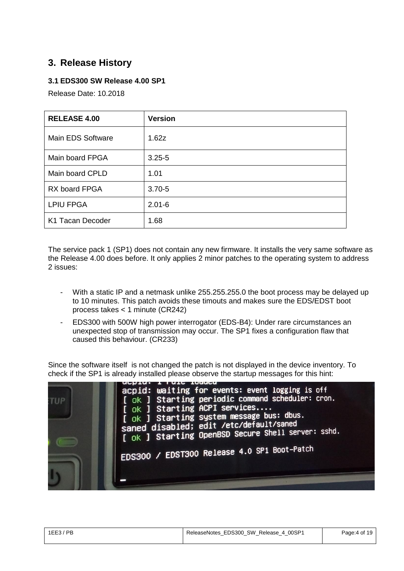## <span id="page-3-0"></span>**3. Release History**

#### <span id="page-3-1"></span>**3.1 EDS300 SW Release 4.00 SP1**

Release Date: 10.2018

| <b>RELEASE 4.00</b> | <b>Version</b> |
|---------------------|----------------|
| Main EDS Software   | 1.62z          |
| Main board FPGA     | $3.25 - 5$     |
| Main board CPLD     | 1.01           |
| RX board FPGA       | $3.70 - 5$     |
| <b>LPIU FPGA</b>    | $2.01 - 6$     |
| K1 Tacan Decoder    | 1.68           |

The service pack 1 (SP1) does not contain any new firmware. It installs the very same software as the Release 4.00 does before. It only applies 2 minor patches to the operating system to address 2 issues:

- With a static IP and a netmask unlike 255.255.255.0 the boot process may be delayed up to 10 minutes. This patch avoids these timouts and makes sure the EDS/EDST boot process takes < 1 minute (CR242)
- EDS300 with 500W high power interrogator (EDS-B4): Under rare circumstances an unexpected stop of transmission may occur. The SP1 fixes a configuration flaw that caused this behaviour. (CR233)

Since the software itself is not changed the patch is not displayed in the device inventory. To check if the SP1 is already installed please observe the startup messages for this hint:



| $1EE3$ / PB | ReleaseNotes_EDS300_SW_Release_4_00SP1 | Page: 4 of 19 |
|-------------|----------------------------------------|---------------|
|             |                                        |               |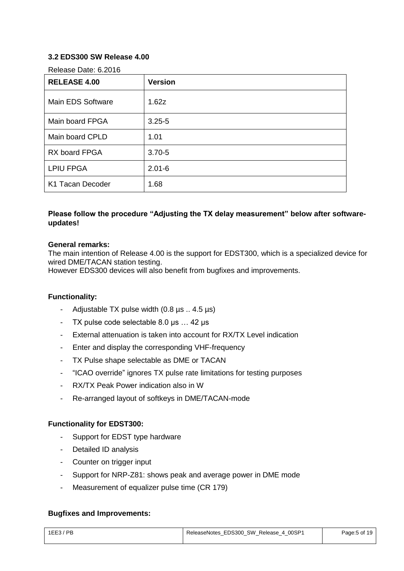#### <span id="page-4-0"></span>**3.2 EDS300 SW Release 4.00**

Release Date: 6.2016

| <b>RELEASE 4.00</b> | <b>Version</b> |
|---------------------|----------------|
| Main EDS Software   | 1.62z          |
| Main board FPGA     | $3.25 - 5$     |
| Main board CPLD     | 1.01           |
| RX board FPGA       | $3.70 - 5$     |
| <b>LPIU FPGA</b>    | $2.01 - 6$     |
| K1 Tacan Decoder    | 1.68           |

#### **Please follow the procedure "Adjusting the TX delay measurement" below after softwareupdates!**

#### **General remarks:**

The main intention of Release 4.00 is the support for EDST300, which is a specialized device for wired DME/TACAN station testing.

However EDS300 devices will also benefit from bugfixes and improvements.

#### **Functionality:**

- Adjustable TX pulse width (0.8 µs .. 4.5 µs)
- TX pulse code selectable 8.0 µs … 42 µs
- External attenuation is taken into account for RX/TX Level indication
- Enter and display the corresponding VHF-frequency
- TX Pulse shape selectable as DME or TACAN
- "ICAO override" ignores TX pulse rate limitations for testing purposes
- RX/TX Peak Power indication also in W
- Re-arranged layout of softkeys in DME/TACAN-mode

#### **Functionality for EDST300:**

- Support for EDST type hardware
- Detailed ID analysis
- Counter on trigger input
- Support for NRP-Z81: shows peak and average power in DME mode
- Measurement of equalizer pulse time (CR 179)

#### **Bugfixes and Improvements:**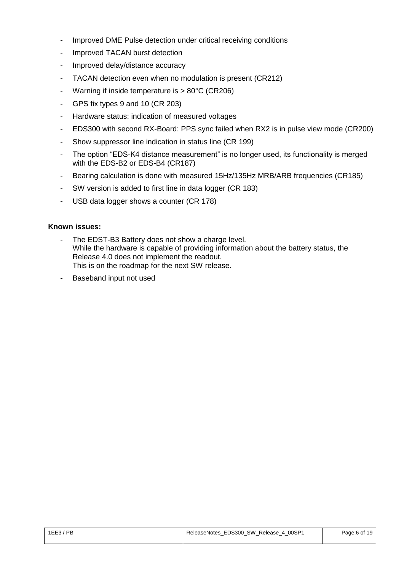- Improved DME Pulse detection under critical receiving conditions
- Improved TACAN burst detection
- Improved delay/distance accuracy
- TACAN detection even when no modulation is present (CR212)
- Warning if inside temperature is > 80°C (CR206)
- GPS fix types 9 and 10 (CR 203)
- Hardware status: indication of measured voltages
- EDS300 with second RX-Board: PPS sync failed when RX2 is in pulse view mode (CR200)
- Show suppressor line indication in status line (CR 199)
- The option "EDS-K4 distance measurement" is no longer used, its functionality is merged with the EDS-B2 or EDS-B4 (CR187)
- Bearing calculation is done with measured 15Hz/135Hz MRB/ARB frequencies (CR185)
- SW version is added to first line in data logger (CR 183)
- USB data logger shows a counter (CR 178)

- The EDST-B3 Battery does not show a charge level. While the hardware is capable of providing information about the battery status, the Release 4.0 does not implement the readout. This is on the roadmap for the next SW release.
- Baseband input not used

| $1EE3$ / PB | ReleaseNotes EDS300 SW Release<br>。4 00SP <sup>4</sup> | Page:6 of 19 |
|-------------|--------------------------------------------------------|--------------|
|             |                                                        |              |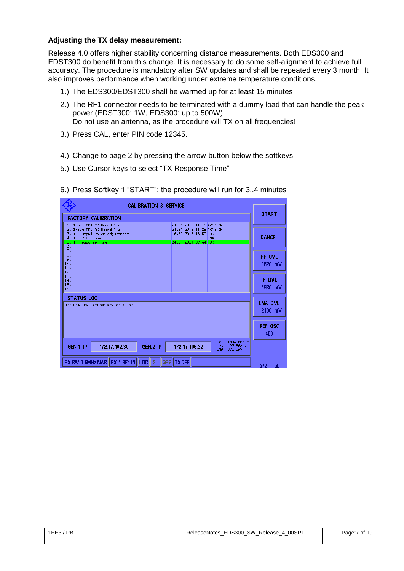#### **Adjusting the TX delay measurement:**

Release 4.0 offers higher stability concerning distance measurements. Both EDS300 and EDST300 do benefit from this change. It is necessary to do some self-alignment to achieve full accuracy. The procedure is mandatory after SW updates and shall be repeated every 3 month. It also improves performance when working under extreme temperature conditions.

- 1.) The EDS300/EDST300 shall be warmed up for at least 15 minutes
- 2.) The RF1 connector needs to be terminated with a dummy load that can handle the peak power (EDST300: 1W, EDS300: up to 500W) Do not use an antenna, as the procedure will TX on all frequencies!
- 3.) Press CAL, enter PIN code 12345.
- 4.) Change to page 2 by pressing the arrow-button below the softkeys
- 5.) Use Cursor keys to select "TX Response Time"
- 6.) Press Softkey 1 "START"; the procedure will run for 3..4 minutes

| <b>CALIBRATION &amp; SERVICE</b>                                                                                                         |                                                   |                                                                                                                           |
|------------------------------------------------------------------------------------------------------------------------------------------|---------------------------------------------------|---------------------------------------------------------------------------------------------------------------------------|
| <b>FACTORY CALIBRATION</b>                                                                                                               | <b>START</b>                                      |                                                                                                                           |
| 1. Input RF1 RX-Board 1+2<br>2. Input RF2 RX-Board 1+2<br>3. TX Output Power adjustment<br>4. TX HPIU Shape<br>5. TX Response Time<br>6. | <b>CANCEL</b>                                     | 21.01.2016 11:11 RX1: 0K<br>21.01.2016 11:28 RX1: 0K<br>10.03.2016 13:50<br><b>OK</b><br><b>NA</b><br>04.01.2021 07:44 OK |
| 7.<br>8.<br>9.<br>10.<br>11.<br>12.                                                                                                      | RF OVL<br>1520 mV                                 |                                                                                                                           |
| 13.<br>14.<br>15.<br>16.                                                                                                                 | IF OVL<br>1930 mV                                 |                                                                                                                           |
| <b>STATUS LOG</b><br>00:10:45:RX1 RF1:0K RF2:0K TX:0K                                                                                    | LNA OVL<br>2100 mV                                |                                                                                                                           |
|                                                                                                                                          | <b>REF OSC</b><br>460                             |                                                                                                                           |
| GEN.1 IP<br>172.17.102.30<br>GEN.2 IP                                                                                                    | RX1F 1004.00MHz<br>AV.L -97.50dBm<br>LNA1 OVL 8mV | 172.17.106.32                                                                                                             |
| RX BW:0.5MHz NAR II RX:1 RF1IN LOCIL SL II GPSI TX OFFI                                                                                  | 2/2                                               |                                                                                                                           |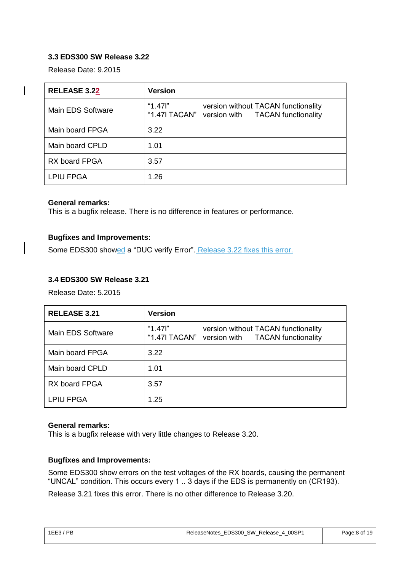#### <span id="page-7-0"></span>**3.3 EDS300 SW Release 3.22**

Release Date: 9.2015

| <b>RELEASE 3.22</b> | <b>Version</b>                                                                                     |
|---------------------|----------------------------------------------------------------------------------------------------|
| Main EDS Software   | "1.47 $"$<br>version without TACAN functionality<br>"1.47I TACAN" version with TACAN functionality |
| Main board FPGA     | 3.22                                                                                               |
| Main board CPLD     | 1.01                                                                                               |
| RX board FPGA       | 3.57                                                                                               |
| <b>LPIU FPGA</b>    | 1.26                                                                                               |

#### **General remarks:**

This is a bugfix release. There is no difference in features or performance.

#### **Bugfixes and Improvements:**

Some EDS300 showed a "DUC verify Error". Release 3.22 fixes this error.

#### <span id="page-7-1"></span>**3.4 EDS300 SW Release 3.21**

Release Date: 5.2015

| <b>RELEASE 3.21</b>  | <b>Version</b>                                                                                   |
|----------------------|--------------------------------------------------------------------------------------------------|
| Main EDS Software    | "1.47l"<br>version without TACAN functionality<br>"1.47I TACAN" version with TACAN functionality |
| Main board FPGA      | 3.22                                                                                             |
| Main board CPLD      | 1.01                                                                                             |
| <b>RX board FPGA</b> | 3.57                                                                                             |
| <b>LPIU FPGA</b>     | 1.25                                                                                             |

#### **General remarks:**

This is a bugfix release with very little changes to Release 3.20.

#### **Bugfixes and Improvements:**

Some EDS300 show errors on the test voltages of the RX boards, causing the permanent "UNCAL" condition. This occurs every 1 .. 3 days if the EDS is permanently on (CR193).

Release 3.21 fixes this error. There is no other difference to Release 3.20.

| $1EE3$ / PB | ReleaseNotes EDS300 SW Release 4 00SP1 | Page:8 of 19 |
|-------------|----------------------------------------|--------------|
|             |                                        |              |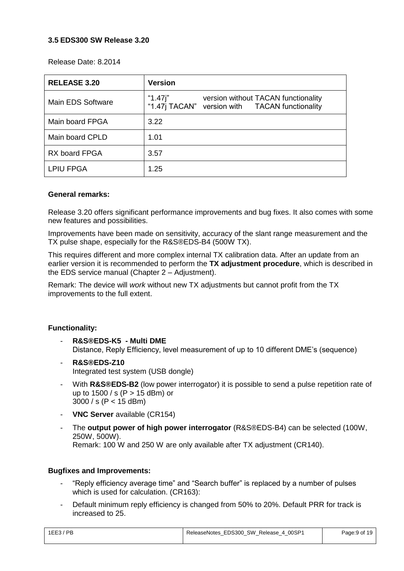#### <span id="page-8-0"></span>**3.5 EDS300 SW Release 3.20**

Release Date: 8.2014

| <b>RELEASE 3.20</b> | <b>Version</b>                                                                                   |
|---------------------|--------------------------------------------------------------------------------------------------|
| Main EDS Software   | "1.47j"<br>version without TACAN functionality<br>"1.47j TACAN" version with TACAN functionality |
| Main board FPGA     | 3.22                                                                                             |
| Main board CPLD     | 1.01                                                                                             |
| RX board FPGA       | 3.57                                                                                             |
| <b>LPIU FPGA</b>    | 1.25                                                                                             |

#### **General remarks:**

Release 3.20 offers significant performance improvements and bug fixes. It also comes with some new features and possibilities.

Improvements have been made on sensitivity, accuracy of the slant range measurement and the TX pulse shape, especially for the R&S®EDS-B4 (500W TX).

This requires different and more complex internal TX calibration data. After an update from an earlier version it is recommended to perform the **TX adjustment procedure**, which is described in the EDS service manual (Chapter 2 – Adjustment).

Remark: The device will *work* without new TX adjustments but cannot profit from the TX improvements to the full extent.

#### **Functionality:**

- **R&S®EDS-K5 - Multi DME** Distance, Reply Efficiency, level measurement of up to 10 different DME's (sequence)
- **R&S®EDS-Z10** Integrated test system (USB dongle)
- With **R&S®EDS-B2** (low power interrogator) it is possible to send a pulse repetition rate of up to 1500 / s (P > 15 dBm) or 3000 / s (P < 15 dBm)
- **VNC Server** available (CR154)
- The **output power of high power interrogator** (R&S®EDS-B4) can be selected (100W, 250W, 500W). Remark: 100 W and 250 W are only available after TX adjustment (CR140).

#### **Bugfixes and Improvements:**

- "Reply efficiency average time" and "Search buffer" is replaced by a number of pulses which is used for calculation. (CR163):
- Default minimum reply efficiency is changed from 50% to 20%. Default PRR for track is increased to 25.

| $1EE3$ / PB | ReleaseNotes EDS300 SW Release 4 00SP1 | Page:9 of 19 |
|-------------|----------------------------------------|--------------|
|             |                                        |              |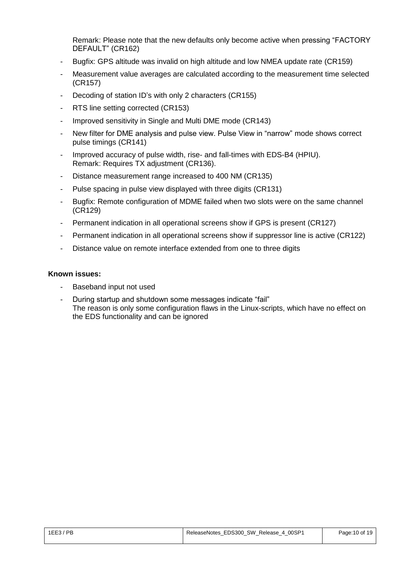Remark: Please note that the new defaults only become active when pressing "FACTORY DEFAULT" (CR162)

- Bugfix: GPS altitude was invalid on high altitude and low NMEA update rate (CR159)
- Measurement value averages are calculated according to the measurement time selected (CR157)
- Decoding of station ID's with only 2 characters (CR155)
- RTS line setting corrected (CR153)
- Improved sensitivity in Single and Multi DME mode (CR143)
- New filter for DME analysis and pulse view. Pulse View in "narrow" mode shows correct pulse timings (CR141)
- Improved accuracy of pulse width, rise- and fall-times with EDS-B4 (HPIU). Remark: Requires TX adjustment (CR136).
- Distance measurement range increased to 400 NM (CR135)
- Pulse spacing in pulse view displayed with three digits (CR131)
- Bugfix: Remote configuration of MDME failed when two slots were on the same channel (CR129)
- Permanent indication in all operational screens show if GPS is present (CR127)
- Permanent indication in all operational screens show if suppressor line is active (CR122)
- Distance value on remote interface extended from one to three digits

- Baseband input not used
- During startup and shutdown some messages indicate "fail" The reason is only some configuration flaws in the Linux-scripts, which have no effect on the EDS functionality and can be ignored

| $1EE3$ / PB | ReleaseNotes_EDS300_SW_Release_4_00SP1 | Page: 10 of 19 |
|-------------|----------------------------------------|----------------|
|             |                                        |                |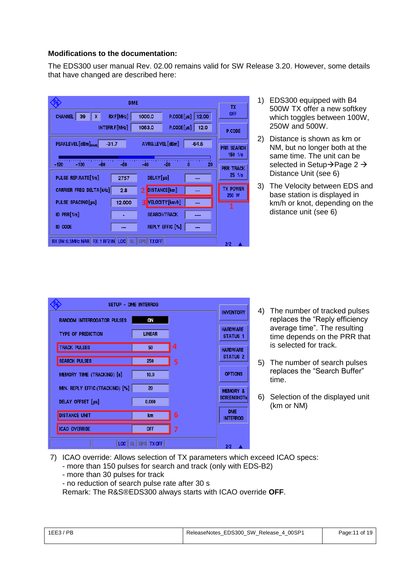#### **Modifications to the documentation:**

The EDS300 user manual Rev. 02.00 remains valid for SW Release 3.20. However, some details that have changed are described here:

|                                   | <b>TX</b>           |                                                   |                                        |
|-----------------------------------|---------------------|---------------------------------------------------|----------------------------------------|
| 39<br>Χ.<br><b>CHANNEL</b>        | RXF[MHz]            | $P$ .CODE $[$ µs]<br>1000.0<br>12.00              | <b>OFF</b>                             |
|                                   | INTERR.F [MHz]      | $P$ .CODE $\lceil \mu s \rceil$<br>1063.0<br>12.0 | P.CODE                                 |
| PEAKLEVEL [dBm] <sub>DME</sub>    | $-31.7$             | AVRG.LEVEL [dBm]<br>$-64.6$                       | <b>PRR SEARCH</b><br>$150 \frac{1}{s}$ |
| $-120$<br>$-100$<br>$-80$         | -60                 | $-20$<br>$-40$<br>20                              | <b>PRR TRACK</b>                       |
| PULSE REP.RATE[1/s]               | 2757                | DELAY [µs]<br>---                                 | $25 \frac{1}{s}$                       |
| <b>CARRIER FREQ DELTA[kHz]</b>    | 2.8                 | DISTANCE [km]<br>2                                | <b>TX POWER</b><br>250 W               |
| PULSE SPACING[us]                 | 12,000              | VELOCITY [km/h]<br>з                              |                                        |
| ID PRR[1/s]                       |                     | <b>SEARCH/TRACK</b>                               |                                        |
| <b>ID CODE</b>                    |                     | REPLY EFFIC. [%]                                  |                                        |
| RX BW: 0.5MHz NAR II RX: 1 RF2 IN | <b>SL</b><br>II LOC | GPS<br><b>TX OFF</b>                              | 2/2                                    |

- 1) EDS300 equipped with B4 500W TX offer a new softkey which toggles between 100W, 250W and 500W.
- 2) Distance is shown as km or NM, but no longer both at the same time. The unit can be selected in Setup $\rightarrow$ Page 2 $\rightarrow$ Distance Unit (see 6)
- 3) The Velocity between EDS and base station is displayed in km/h or knot, depending on the distance unit (see 6)

|                                   | SETUP - DME INTERROG    |   |                                    |
|-----------------------------------|-------------------------|---|------------------------------------|
| <b>RANDOM INTERROGATOR PULSES</b> | ON                      |   | <b>INVENTORY</b>                   |
| <b>TYPE OF PREDICTION</b>         | <b>LINEAR</b>           |   | <b>HARDWARE</b><br><b>STATUS 1</b> |
| <b>TRACK PULSES</b>               | 50                      | 4 | <b>HARDWARE</b>                    |
| <b>SEARCH PULSES</b>              | 250                     | 5 | <b>STATUS 2</b>                    |
| MEMORY TIME (TRACKING) [s]        | 10.0                    |   | <b>OPTIONS</b>                     |
| MIN. REPLY EFFIC.(TRACKING) [%]   | 20                      |   | <b>MEMORY &amp;</b>                |
| DELAY OFFSET [µs]                 | 0.000                   |   | <b>SCREENSHOTS</b>                 |
| <b>DISTANCE UNIT</b>              | km                      | 6 | <b>DME</b><br><b>INTERROG</b>      |
| <b>ICAO OVERRIDE</b>              | <b>OFF</b>              | 7 |                                    |
| LOCII                             | GPS TX OFF<br><b>SL</b> |   | 2/2                                |

- 4) The number of tracked pulses replaces the "Reply efficiency average time". The resulting time depends on the PRR that is selected for track.
- 5) The number of search pulses replaces the "Search Buffer" time.
- 6) Selection of the displayed unit (km or NM)
- 7) ICAO override: Allows selection of TX parameters which exceed ICAO specs:
	- more than 150 pulses for search and track (only with EDS-B2)
	- more than 30 pulses for track
	- no reduction of search pulse rate after 30 s

Remark: The R&S®EDS300 always starts with ICAO override **OFF**.

| $1EE3$ / PB | ReleaseNotes EDS300 SW Release 4 00SP1 | Page:11 of 19 |
|-------------|----------------------------------------|---------------|
|-------------|----------------------------------------|---------------|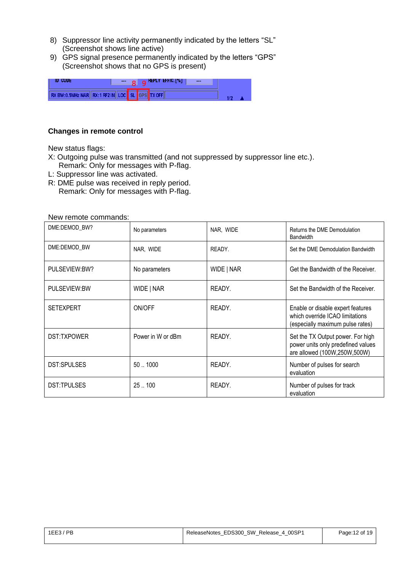- 8) Suppressor line activity permanently indicated by the letters "SL" (Screenshot shows line active)
- 9) GPS signal presence permanently indicated by the letters "GPS" (Screenshot shows that no GPS is present)

| Ш                                  | $\cdots$ |             | $\alpha$ KEPLY EFFIC. [%]<br>$- - -$ |  |
|------------------------------------|----------|-------------|--------------------------------------|--|
| RX BW:0.5MHz NAR RX:1 RF2IN LOC SL |          | <b>LGPS</b> |                                      |  |

#### **Changes in remote control**

New status flags:

- X: Outgoing pulse was transmitted (and not suppressed by suppressor line etc.). Remark: Only for messages with P-flag.
- L: Suppressor line was activated.
- R: DME pulse was received in reply period.
	- Remark: Only for messages with P-flag.

New remote commands:

| DME:DEMOD_BW?      | No parameters     | NAR, WIDE  | Returns the DME Demodulation<br><b>Bandwidth</b>                                                         |
|--------------------|-------------------|------------|----------------------------------------------------------------------------------------------------------|
| DME:DEMOD BW       | NAR, WIDE         | READY.     | Set the DME Demodulation Bandwidth                                                                       |
| PULSEVIEW:BW?      | No parameters     | WIDE   NAR | Get the Bandwidth of the Receiver.                                                                       |
| PULSEVIEW:BW       | WIDE   NAR        | READY.     | Set the Bandwidth of the Receiver.                                                                       |
| <b>SETEXPERT</b>   | ON/OFF            | READY.     | Enable or disable expert features<br>which override ICAO limitations<br>(especially maximum pulse rates) |
| <b>DST:TXPOWER</b> | Power in W or dBm | READY.     | Set the TX Output power. For high<br>power units only predefined values<br>are allowed (100W,250W,500W)  |
| <b>DST:SPULSES</b> | 501000            | READY.     | Number of pulses for search<br>evaluation                                                                |
| DST:TPULSES        | 25100             | READY.     | Number of pulses for track<br>evaluation                                                                 |

| 1EE3/PB | ReleaseNotes EDS300 SW Release 4 00SP1 | Page: 12 of 19 |
|---------|----------------------------------------|----------------|
|         |                                        |                |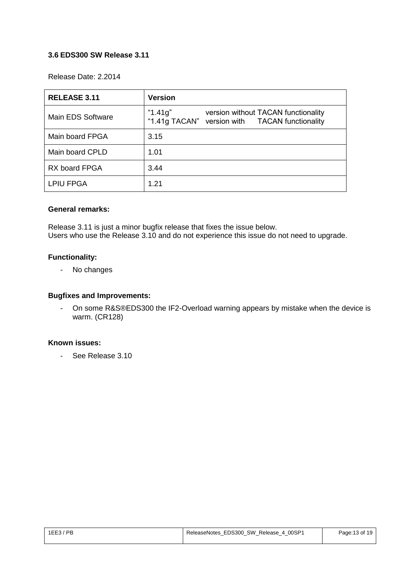#### <span id="page-12-0"></span>**3.6 EDS300 SW Release 3.11**

Release Date: 2.2014

| <b>RELEASE 3.11</b>  | <b>Version</b>                                                                                   |
|----------------------|--------------------------------------------------------------------------------------------------|
| Main EDS Software    | "1.41g"<br>version without TACAN functionality<br>"1.41g TACAN" version with TACAN functionality |
| Main board FPGA      | 3.15                                                                                             |
| Main board CPLD      | 1.01                                                                                             |
| <b>RX board FPGA</b> | 3.44                                                                                             |
| <b>LPIU FPGA</b>     | 1.21                                                                                             |

#### **General remarks:**

Release 3.11 is just a minor bugfix release that fixes the issue below. Users who use the Release 3.10 and do not experience this issue do not need to upgrade.

#### **Functionality:**

- No changes

#### **Bugfixes and Improvements:**

- On some R&S®EDS300 the IF2-Overload warning appears by mistake when the device is warm. (CR128)

#### **Known issues:**

- See Release 3.10

| $1EE3$ / PB | ReleaseNotes EDS300 SW Release 4 00SP1 | Page: 13 of 19 |
|-------------|----------------------------------------|----------------|
|             |                                        |                |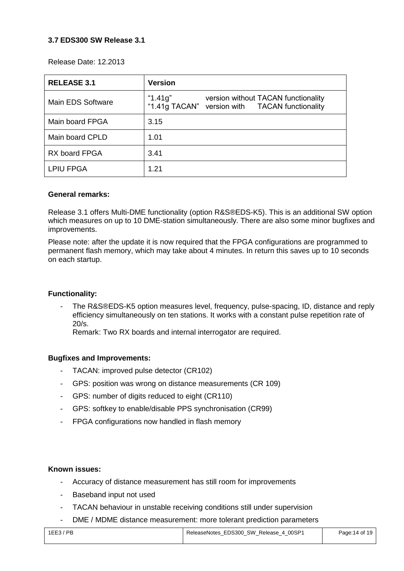#### <span id="page-13-0"></span>**3.7 EDS300 SW Release 3.1**

Release Date: 12.2013

| <b>RELEASE 3.1</b> | <b>Version</b>                                                                                      |
|--------------------|-----------------------------------------------------------------------------------------------------|
| Main EDS Software  | "1.41g"<br>version without TACAN functionality<br>"1.41g TACAN"<br>version with TACAN functionality |
| Main board FPGA    | 3.15                                                                                                |
| Main board CPLD    | 1.01                                                                                                |
| RX board FPGA      | 3.41                                                                                                |
| <b>LPIU FPGA</b>   | 1.21                                                                                                |

#### **General remarks:**

Release 3.1 offers Multi-DME functionality (option R&S®EDS-K5). This is an additional SW option which measures on up to 10 DME-station simultaneously. There are also some minor bugfixes and improvements.

Please note: after the update it is now required that the FPGA configurations are programmed to permanent flash memory, which may take about 4 minutes. In return this saves up to 10 seconds on each startup.

#### **Functionality:**

The R&S®EDS-K5 option measures level, frequency, pulse-spacing, ID, distance and reply efficiency simultaneously on ten stations. It works with a constant pulse repetition rate of 20/s.

Remark: Two RX boards and internal interrogator are required.

#### **Bugfixes and Improvements:**

- TACAN: improved pulse detector (CR102)
- GPS: position was wrong on distance measurements (CR 109)
- GPS: number of digits reduced to eight (CR110)
- GPS: softkey to enable/disable PPS synchronisation (CR99)
- FPGA configurations now handled in flash memory

- Accuracy of distance measurement has still room for improvements
- Baseband input not used
- TACAN behaviour in unstable receiving conditions still under supervision
- DME / MDME distance measurement: more tolerant prediction parameters

| $1EE3$ / PB | ReleaseNotes EDS300 SW Release 4 00SP1 | Page: 14 of 19 |
|-------------|----------------------------------------|----------------|
|             |                                        |                |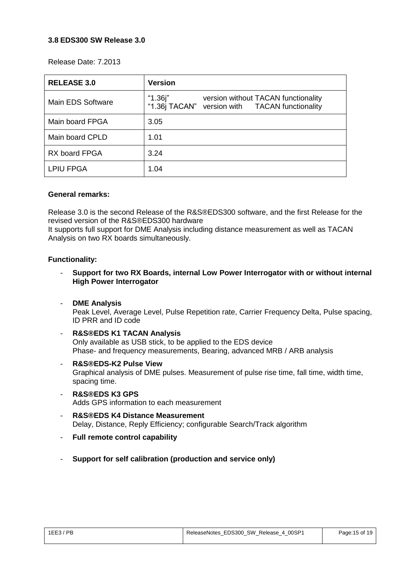#### <span id="page-14-0"></span>**3.8 EDS300 SW Release 3.0**

Release Date: 7.2013

| <b>RELEASE 3.0</b> | <b>Version</b>                                                                                   |
|--------------------|--------------------------------------------------------------------------------------------------|
| Main EDS Software  | "1.36j"<br>version without TACAN functionality<br>"1.36j TACAN" version with TACAN functionality |
| Main board FPGA    | 3.05                                                                                             |
| Main board CPLD    | 1.01                                                                                             |
| RX board FPGA      | 3.24                                                                                             |
| <b>LPIU FPGA</b>   | 1.04                                                                                             |

#### **General remarks:**

Release 3.0 is the second Release of the R&S®EDS300 software, and the first Release for the revised version of the R&S®EDS300 hardware

It supports full support for DME Analysis including distance measurement as well as TACAN Analysis on two RX boards simultaneously.

#### **Functionality:**

- **Support for two RX Boards, internal Low Power Interrogator with or without internal High Power Interrogator**
- **DME Analysis**

Peak Level, Average Level, Pulse Repetition rate, Carrier Frequency Delta, Pulse spacing, ID PRR and ID code

- **R&S®EDS K1 TACAN Analysis**  Only available as USB stick, to be applied to the EDS device Phase- and frequency measurements, Bearing, advanced MRB / ARB analysis
- **R&S®EDS-K2 Pulse View** Graphical analysis of DME pulses. Measurement of pulse rise time, fall time, width time, spacing time.
- **R&S®EDS K3 GPS** Adds GPS information to each measurement
- **R&S®EDS K4 Distance Measurement** Delay, Distance, Reply Efficiency; configurable Search/Track algorithm
- **Full remote control capability**
- **Support for self calibration (production and service only)**

| ' PR<br>1EE3/<br>____ | ReleaseNotes EDS300 SW Release 4 00SP1<br>$\overline{\phantom{a}}$<br>$\overline{\phantom{a}}$ | Page: 15 of 19 |
|-----------------------|------------------------------------------------------------------------------------------------|----------------|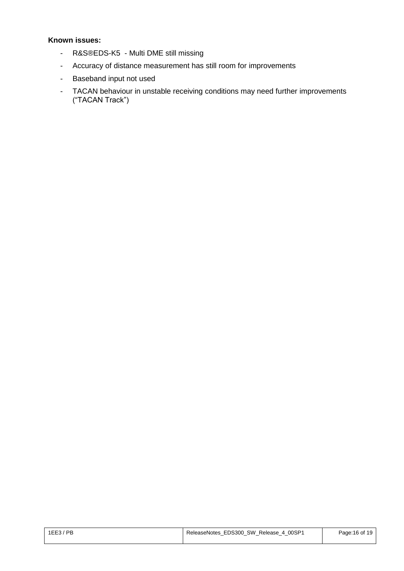- R&S®EDS-K5 Multi DME still missing
- Accuracy of distance measurement has still room for improvements
- Baseband input not used
- TACAN behaviour in unstable receiving conditions may need further improvements ("TACAN Track")

| 1EE3/PB | ReleaseNotes EDS300 SW Release 4 00SP1 | Page: 16 of 19 |
|---------|----------------------------------------|----------------|
|         |                                        |                |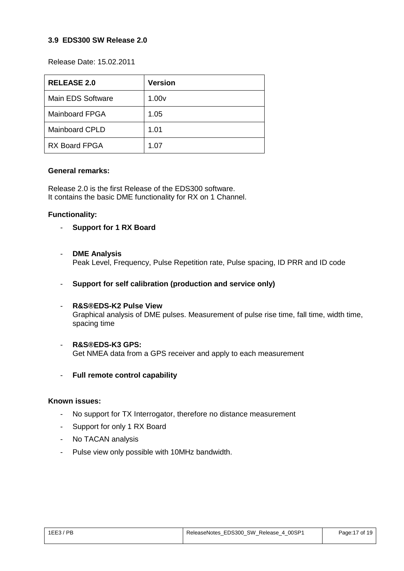#### <span id="page-16-0"></span>**3.9 EDS300 SW Release 2.0**

Release Date: 15.02.2011

| <b>RELEASE 2.0</b>    | <b>Version</b>    |
|-----------------------|-------------------|
| Main EDS Software     | 1.00 <sub>V</sub> |
| <b>Mainboard FPGA</b> | 1.05              |
| <b>Mainboard CPLD</b> | 1.01              |
| <b>RX Board FPGA</b>  | 1.07              |

#### **General remarks:**

Release 2.0 is the first Release of the EDS300 software. It contains the basic DME functionality for RX on 1 Channel.

#### **Functionality:**

- **Support for 1 RX Board**
- **DME Analysis** Peak Level, Frequency, Pulse Repetition rate, Pulse spacing, ID PRR and ID code
- **Support for self calibration (production and service only)**
- **R&S®EDS-K2 Pulse View** Graphical analysis of DME pulses. Measurement of pulse rise time, fall time, width time, spacing time
- **R&S®EDS-K3 GPS:**  Get NMEA data from a GPS receiver and apply to each measurement
- **Full remote control capability**

- No support for TX Interrogator, therefore no distance measurement
- Support for only 1 RX Board
- No TACAN analysis
- Pulse view only possible with 10MHz bandwidth.

| 1EE3/PB<br>____ | ReleaseNotes EDS300 SW Release 4 00SP1 | Page: 17 of 19 |
|-----------------|----------------------------------------|----------------|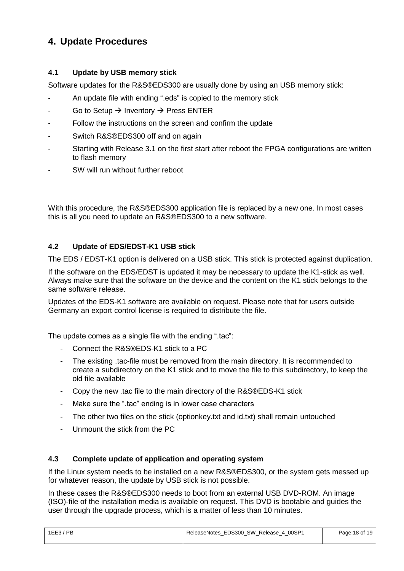## <span id="page-17-0"></span>**4. Update Procedures**

#### <span id="page-17-1"></span>**4.1 Update by USB memory stick**

Software updates for the R&S®EDS300 are usually done by using an USB memory stick:

- An update file with ending ".eds" is copied to the memory stick
- Go to Setup  $\rightarrow$  Inventory  $\rightarrow$  Press ENTER
- Follow the instructions on the screen and confirm the update
- Switch R&S®EDS300 off and on again
- Starting with Release 3.1 on the first start after reboot the FPGA configurations are written to flash memory
- SW will run without further reboot

With this procedure, the R&S®EDS300 application file is replaced by a new one. In most cases this is all you need to update an R&S®EDS300 to a new software.

#### <span id="page-17-2"></span>**4.2 Update of EDS/EDST-K1 USB stick**

The EDS / EDST-K1 option is delivered on a USB stick. This stick is protected against duplication.

If the software on the EDS/EDST is updated it may be necessary to update the K1-stick as well. Always make sure that the software on the device and the content on the K1 stick belongs to the same software release.

Updates of the EDS-K1 software are available on request. Please note that for users outside Germany an export control license is required to distribute the file.

The update comes as a single file with the ending ".tac":

- Connect the R&S®EDS-K1 stick to a PC
- The existing .tac-file must be removed from the main directory. It is recommended to create a subdirectory on the K1 stick and to move the file to this subdirectory, to keep the old file available
- Copy the new .tac file to the main directory of the R&S®EDS-K1 stick
- Make sure the ".tac" ending is in lower case characters
- The other two files on the stick (optionkey.txt and id.txt) shall remain untouched
- Unmount the stick from the PC

#### <span id="page-17-3"></span>**4.3 Complete update of application and operating system**

If the Linux system needs to be installed on a new R&S®EDS300, or the system gets messed up for whatever reason, the update by USB stick is not possible.

In these cases the R&S®EDS300 needs to boot from an external USB DVD-ROM. An image (ISO)-file of the installation media is available on request. This DVD is bootable and guides the user through the upgrade process, which is a matter of less than 10 minutes.

| 1EE3/PB | ReleaseNotes EDS300 SW Release 4 00SP1 | Page: 18 of 19 |
|---------|----------------------------------------|----------------|
|         |                                        |                |